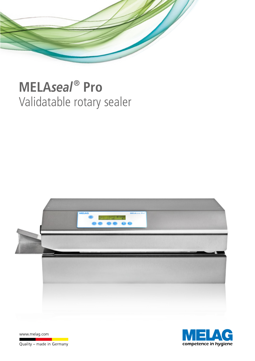

# **MELA***seal* **® Pro** Validatable rotary sealer



 $\pmb{\lambda}$ competence in hygiene

www.melag.com

Quality - made in Germany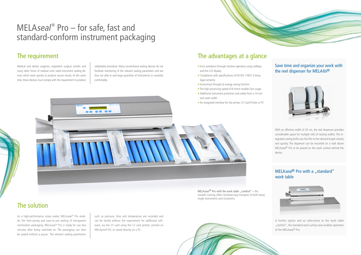## The requirement

# The solution

Medical and dental surgeries, outpatient surgical centres and many other forms of medical units need instrument sealing devices which work quickly to produce secure results. At the same time, these devices must comply with the requirement to produce

validatable procedure. Many conventional sealing devices do not facilitate monitoring of the relevant sealing parameters and are thus not able to seal large quantities of instruments or cassettes comfortably.

As a high-performance rotary sealer, MELAseal® Pro enables the time-saving and easy-to-use sealing of transparent sterilization packaging. MELAseal<sup>®</sup> Pro is ready for use two minutes after being switched on. The packaging can then be sealed without a pause. The relevant sealing parameters such as pressure, time and temperature are recorded and can be stored without the requirement for additional software, via the CF card using the CF card printer; printed on MELAprint®42; or saved directly on a PC.

# MELAseal<sup>®</sup> Pro – for safe, fast and standard-conform instrument packaging

MELAseal<sup>®</sup> Pro with the work table "comfort" – the smooth-running rollers facilitate easy transport of both heavy single instruments and containers.

#### MELAseal<sup>®</sup> Pro with a "standard" work table

#### Save time and organize your work with the reel dispenser for MELAfol®





A further option and an alternative to the work table "comfort", the standard work surface also enables operation of the MELAseal<sup>®</sup> Pro.



- Error avoidance through intuitive operation using softkeys and the LCD display
- Compliance with specifications of EN ISO 11607-2 bring legal certainty
- Economical through its energy-saving function
- The high processing speed of 8 m/min enables fast usage.
- Additional instrument protection and safety from a 14 mm seal seam width.
- An integrated interface for the printer, CF-Card Printer or PC



# The advantages at a glance

With an effective width of 42 cm, the reel dispenser provides considerable space for multiple rolls of varying widths. The integrated cutting knife cuts the film to the desired length cleanly and quickly. The dispenser can be mounted on a wall above MELAseal<sup>®</sup> Pro or be placed on the work surface behind the device.